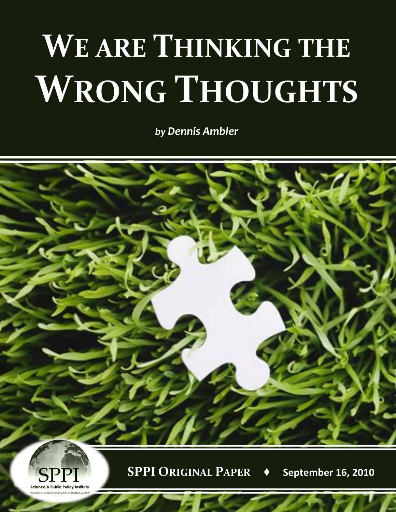## **WE ARE THINKING THE WRONG THOUGHTS**

*by Dennis Ambler*





**SPPI ORIGINAL PAPER ♦ September 16, 2010**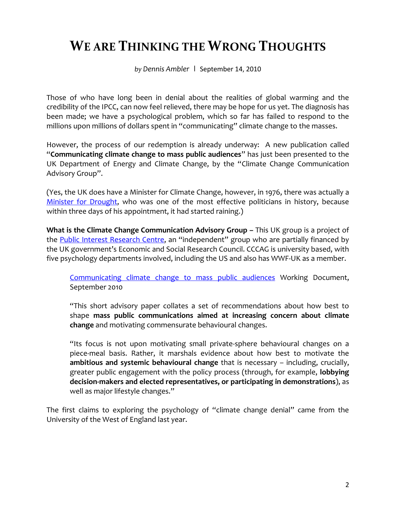## **WE ARE THINKING THE WRONG THOUGHTS**

*by Dennis Ambler* **|** September 14, 2010

Those of who have long been in denial about the realities of global warming and the credibility of the IPCC, can now feel relieved, there may be hope for us yet. The diagnosis has been made; we have a psychological problem, which so far has failed to respond to the millions upon millions of dollars spent in "communicating" climate change to the masses.

However, the process of our redemption is already underway: A new publication called "**Communicating climate change to mass public audiences**" has just been presented to the UK Department of Energy and Climate Change, by the "Climate Change Communication Advisory Group".

(Yes, the UK does have a Minister for Climate Change, however, in 1976, there was actually a [Minister for Drought,](http://www.weatheronline.co.uk/reports/philip-eden/The-greatest-drought-on-record.htm) who was one of the most effective politicians in history, because within three days of his appointment, it had started raining.)

**What is the Climate Change Communication Advisory Group –** This UK group is a project of the [Public Interest Research Centre](http://www.pirc.info/), an "independent" group who are partially financed by the UK government's Economic and Social Research Council. CCCAG is university based, with five psychology departments involved, including the US and also has WWF-UK as a member.

[Communicating climate change to mass public audiences](http://coinet.org.uk/sites/coinet.org.uk/files/Communicating_climate_change_to_mass_public_audiences_0.pdf) Working Document, September 2010

"This short advisory paper collates a set of recommendations about how best to shape **mass public communications aimed at increasing concern about climate change** and motivating commensurate behavioural changes.

"Its focus is not upon motivating small private-sphere behavioural changes on a piece-meal basis. Rather, it marshals evidence about how best to motivate the **ambitious and systemic behavioural change** that is necessary – including, crucially, greater public engagement with the policy process (through, for example, **lobbying decision-makers and elected representatives, or participating in demonstrations**), as well as major lifestyle changes."

The first claims to exploring the psychology of "climate change denial" came from the University of the West of England last year.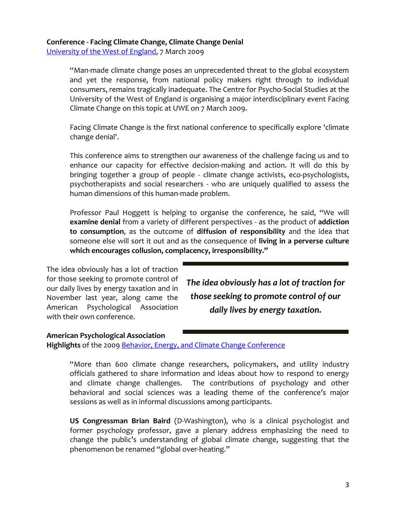## **Conference - Facing Climate Change, Climate Change Denial**

[University of the West of England,](http://info.uwe.ac.uk/news/UWENews/article.asp?item=1438) 7 March 2009

"Man-made climate change poses an unprecedented threat to the global ecosystem and yet the response, from national policy makers right through to individual consumers, remains tragically inadequate. The Centre for Psycho-Social Studies at the University of the West of England is organising a major interdisciplinary event Facing Climate Change on this topic at UWE on 7 March 2009.

Facing Climate Change is the first national conference to specifically explore 'climate change denial'.

This conference aims to strengthen our awareness of the challenge facing us and to enhance our capacity for effective decision-making and action. It will do this by bringing together a group of people - climate change activists, eco-psychologists, psychotherapists and social researchers - who are uniquely qualified to assess the human dimensions of this human-made problem.

Professor Paul Hoggett is helping to organise the conference, he said, "We will **examine denial** from a variety of different perspectives - as the product of **addiction to consumption**, as the outcome of **diffusion of responsibility** and the idea that someone else will sort it out and as the consequence of **living in a perverse culture which encourages collusion, complacency, irresponsibility."**

The idea obviously has a lot of traction for those seeking to promote control of our daily lives by energy taxation and in November last year, along came the American Psychological Association with their own conference.

*The idea obviously has a lot of traction for those seeking to promote control of our daily lives by energy taxation.*

## **American Psychological Association Highlights** of the 2009 [Behavior, Energy, and Climate Change Conference](http://www.apa.org/science/about/psa/2010/01/becc.aspx)

"More than 600 climate change researchers, policymakers, and utility industry officials gathered to share information and ideas about how to respond to energy and climate change challenges. The contributions of psychology and other behavioral and social sciences was a leading theme of the conference's major sessions as well as in informal discussions among participants.

**US Congressman Brian Baird** (D-Washington), who is a clinical psychologist and former psychology professor, gave a plenary address emphasizing the need to change the public's understanding of global climate change, suggesting that the phenomenon be renamed "global over-heating."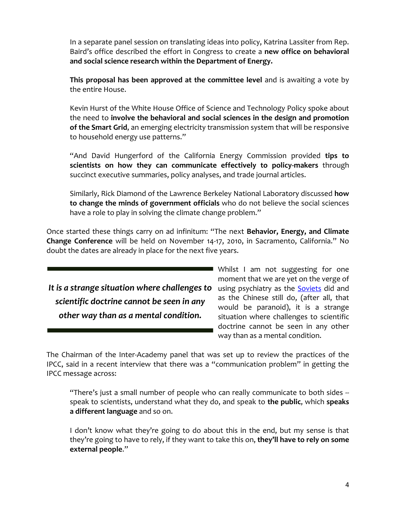In a separate panel session on translating ideas into policy, Katrina Lassiter from Rep. Baird's office described the effort in Congress to create a **new office on behavioral and social science research within the Department of Energy.**

**This proposal has been approved at the committee level** and is awaiting a vote by the entire House.

Kevin Hurst of the White House Office of Science and Technology Policy spoke about the need to **involve the behavioral and social sciences in the design and promotion of the Smart Grid**, an emerging electricity transmission system that will be responsive to household energy use patterns."

"And David Hungerford of the California Energy Commission provided **tips to scientists on how they can communicate effectively to policy-makers** through succinct executive summaries, policy analyses, and trade journal articles.

Similarly, Rick Diamond of the Lawrence Berkeley National Laboratory discussed **how to change the minds of government officials** who do not believe the social sciences have a role to play in solving the climate change problem."

Once started these things carry on ad infinitum: "The next **Behavior, Energy, and Climate Change Conference** will be held on November 14-17, 2010, in Sacramento, California." No doubt the dates are already in place for the next five years.

It is a strange situation where challenges to using psychiatry as the **Soviets** did and *scientific doctrine cannot be seen in any other way than as a mental condition.*

Whilst I am not suggesting for one moment that we are yet on the verge of as the Chinese still do, (after all, that would be paranoid), it is a strange situation where challenges to scientific doctrine cannot be seen in any other way than as a mental condition.

The Chairman of the Inter-Academy panel that was set up to review the practices of the IPCC, said in a recent interview that there was a "communication problem" in getting the IPCC message across:

"There's just a small number of people who can really communicate to both sides - speak to scientists, understand what they do, and speak to **the public**, which **speaks a different language** and so on.

I don't know what they're going to do about this in the end, but my sense is that they're going to have to rely, if they want to take this on, **they'll have to rely on some external people**."